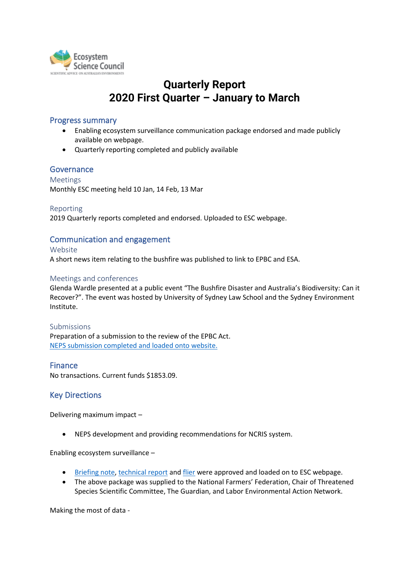

# **Quarterly Report 2020 First Quarter – January to March**

#### Progress summary

- Enabling ecosystem surveillance communication package endorsed and made publicly available on webpage.
- Quarterly reporting completed and publicly available

#### Governance

Meetings Monthly ESC meeting held 10 Jan, 14 Feb, 13 Mar

Reporting 2019 Quarterly reports completed and endorsed. Uploaded to ESC webpage.

## Communication and engagement

Website

A short news item relating to the bushfire was published to link to EPBC and ESA.

#### Meetings and conferences

Glenda Wardle presented at a public event "The Bushfire Disaster and Australia's Biodiversity: Can it Recover?". The event was hosted by University of Sydney Law School and the Sydney Environment Institute.

Submissions Preparation of a submission to the review of the EPBC Act. [NEPS submission completed and loaded onto website.](https://ecosystemscience.org.au/wp-content/uploads/2020/04/NEPS-submission_20200302_Final.pdf)

#### Finance

No transactions. Current funds \$1853.09.

### Key Directions

Delivering maximum impact –

• NEPS development and providing recommendations for NCRIS system.

Enabling ecosystem surveillance –

- [Briefing note,](https://ecosystemscience.org.au/wp-content/uploads/2020/04/Policy-Brief-Taking-our-Environmental-Pulse_v9clean.pdf) [technical report](https://ecosystemscience.org.au/wp-content/uploads/2020/04/EES-Strategic-Technical-Report-vPROD.pdf) and [flier](https://ecosystemscience.org.au/wp-content/uploads/2020/04/Enabling-Ecosystem-Surveillance-brochure_summary.pdf) were approved and loaded on to ESC webpage.
- The above package was supplied to the National Farmers' Federation, Chair of Threatened Species Scientific Committee, The Guardian, and Labor Environmental Action Network.

Making the most of data -